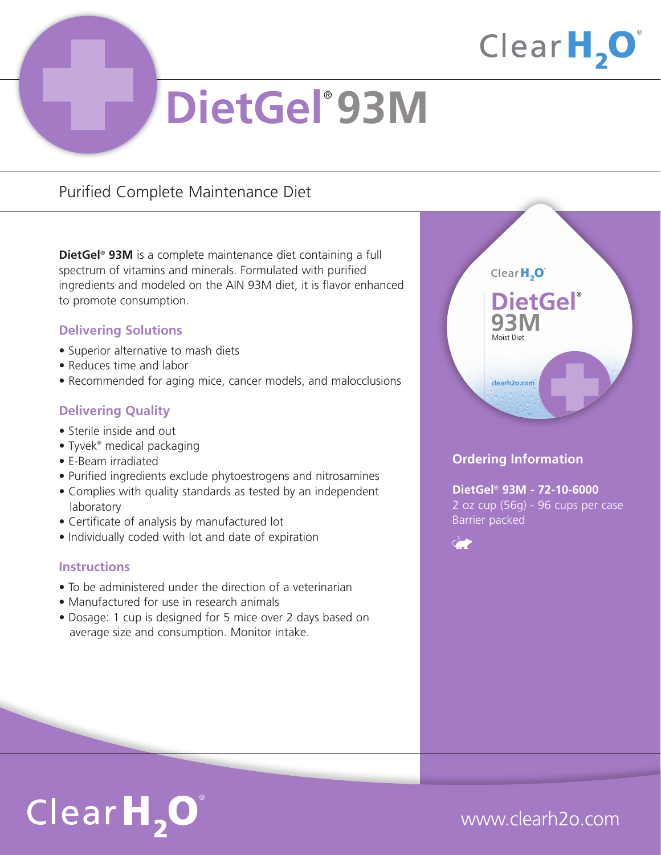

# **DietGel**® **93M**

### Purified Complete Maintenance Diet

**DietGel**® **93M** is a complete maintenance diet containing a full spectrum of vitamins and minerals. Formulated with purified ingredients and modeled on the AIN 93M diet, it is flavor enhanced to promote consumption.

### **Delivering Solutions**

- Superior alternative to mash diets
- Reduces time and labor
- Recommended for aging mice, cancer models, and malocclusions

### **Delivering Quality**

- Sterile inside and out
- Tyvek® medical packaging
- E-Beam irradiated
- Purified ingredients exclude phytoestrogens and nitrosamines
- Complies with quality standards as tested by an independent laboratory
- Certificate of analysis by manufactured lot
- Individually coded with lot and date of expiration

### **Instructions**

- To be administered under the direction of a veterinarian
- Manufactured for use in research animals
- Dosage: 1 cup is designed for 5 mice over 2 days based on average size and consumption. Monitor intake.



### **Ordering Information**

**DietGel**® **93M - 72-10-6000** 2 oz cup (56g) - 96 cups per case Barrier packed



# $ClearH, O^*$

## www.clearh2o.com